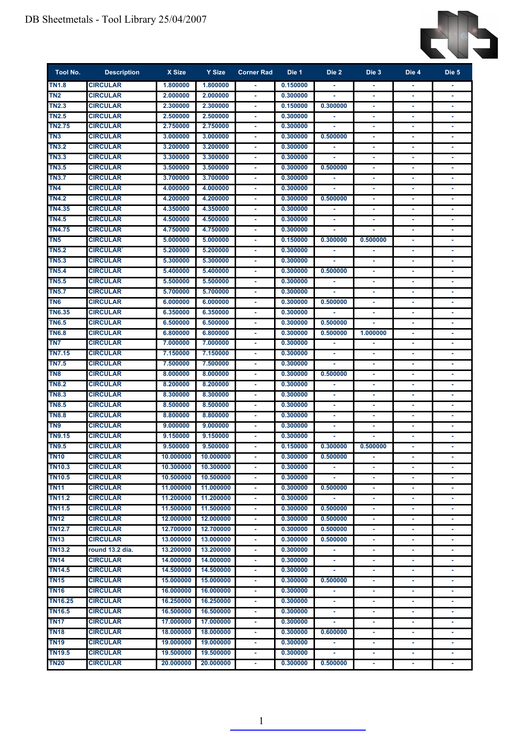

| Tool No.        | <b>Description</b> | X Size    | Y Size    | <b>Corner Rad</b>        | Die 1    | Die 2          | Die 3          | Die 4  | Die 5  |
|-----------------|--------------------|-----------|-----------|--------------------------|----------|----------------|----------------|--------|--------|
| <b>TN1.8</b>    | <b>CIRCULAR</b>    | 1.800000  | 1.800000  |                          | 0.150000 |                |                |        |        |
| TN <sub>2</sub> | <b>CIRCULAR</b>    | 2.000000  | 2.000000  | $\sim$                   | 0.300000 |                | ä,             | $\sim$ | $\sim$ |
| <b>TN2.3</b>    | <b>CIRCULAR</b>    | 2.300000  | 2.300000  | ٠                        | 0.150000 | 0.300000       | ٠              | ٠      |        |
| <b>TN2.5</b>    | <b>CIRCULAR</b>    | 2.500000  | 2.500000  |                          | 0.300000 | ٠              | ٠              | ٠      |        |
| <b>TN2.75</b>   | <b>CIRCULAR</b>    | 2.750000  | 2.750000  | ٠                        | 0.300000 |                | ٠              | ٠      |        |
| TN3             | <b>CIRCULAR</b>    | 3.000000  | 3.000000  |                          | 0.300000 | 0.500000       |                |        |        |
| <b>TN3.2</b>    | <b>CIRCULAR</b>    | 3.200000  | 3.200000  |                          | 0.300000 |                |                |        |        |
| <b>TN3.3</b>    | <b>CIRCULAR</b>    | 3.300000  | 3.300000  |                          | 0.300000 |                | ٠              | ٠      |        |
| <b>TN3.5</b>    | <b>CIRCULAR</b>    | 3.500000  | 3.500000  |                          | 0.300000 | 0.500000       | $\blacksquare$ | ٠      |        |
| <b>TN3.7</b>    | <b>CIRCULAR</b>    | 3.700000  | 3.700000  | ٠                        | 0.300000 | ٠              | ٠              | ٠      |        |
| TN <sub>4</sub> | <b>CIRCULAR</b>    | 4.000000  | 4.000000  |                          | 0.300000 |                |                | ٠      |        |
| TN4.2           | <b>CIRCULAR</b>    | 4.200000  | 4.200000  |                          | 0.300000 | 0.500000       |                |        |        |
| <b>TN4.35</b>   | <b>CIRCULAR</b>    | 4.350000  | 4.350000  |                          | 0.300000 |                |                |        |        |
| <b>TN4.5</b>    | <b>CIRCULAR</b>    | 4.500000  | 4.500000  |                          | 0.300000 |                |                |        |        |
| <b>TN4.75</b>   | <b>CIRCULAR</b>    | 4.750000  | 4.750000  |                          | 0.300000 |                |                |        |        |
| TN5             | <b>CIRCULAR</b>    | 5.000000  | 5.000000  |                          | 0.150000 | 0.300000       | 0.500000       | ۰      |        |
| <b>TN5.2</b>    | <b>CIRCULAR</b>    | 5.200000  | 5.200000  |                          | 0.300000 |                |                |        |        |
| <b>TN5.3</b>    | <b>CIRCULAR</b>    | 5.300000  | 5.300000  |                          | 0.300000 |                |                |        |        |
| <b>TN5.4</b>    | <b>CIRCULAR</b>    | 5.400000  | 5.400000  |                          | 0.300000 | 0.500000       |                |        |        |
| <b>TN5.5</b>    | <b>CIRCULAR</b>    | 5.500000  | 5.500000  |                          | 0.300000 |                |                |        |        |
| <b>TN5.7</b>    | <b>CIRCULAR</b>    | 5.700000  | 5.700000  |                          | 0.300000 |                |                |        |        |
| TN <sub>6</sub> | <b>CIRCULAR</b>    | 6.000000  | 6.000000  |                          | 0.300000 | 0.500000       |                |        |        |
| <b>TN6.35</b>   | <b>CIRCULAR</b>    | 6.350000  | 6.350000  |                          | 0.300000 |                |                |        |        |
| <b>TN6.5</b>    | <b>CIRCULAR</b>    | 6.500000  | 6.500000  |                          | 0.300000 | 0.500000       |                |        |        |
| <b>TN6.8</b>    | <b>CIRCULAR</b>    | 6.800000  | 6.800000  |                          | 0.300000 | 0.500000       | 1.000000       | ٠      |        |
| TN7             | <b>CIRCULAR</b>    | 7.000000  | 7.000000  |                          | 0.300000 |                |                |        |        |
| <b>TN7.15</b>   | <b>CIRCULAR</b>    | 7.150000  | 7.150000  |                          | 0.300000 |                | ٠              | ٠      |        |
| TN7.5           | <b>CIRCULAR</b>    | 7.500000  | 7.500000  | $\sim$                   | 0.300000 |                | ٠              | ٠      |        |
| TN8             | <b>CIRCULAR</b>    | 8.000000  | 8.000000  | ٠                        | 0.300000 | 0.500000       | ٠              | ٠      | ۰      |
| <b>TN8.2</b>    | <b>CIRCULAR</b>    | 8.200000  | 8.200000  |                          | 0.300000 | ٠              | ٠              | ٠      |        |
| <b>TN8.3</b>    | <b>CIRCULAR</b>    | 8.300000  | 8.300000  |                          | 0.300000 |                | ٠              | ٠      |        |
| <b>TN8.5</b>    | <b>CIRCULAR</b>    | 8.500000  | 8.500000  |                          | 0.300000 |                |                | ä,     |        |
| <b>TN8.8</b>    | <b>CIRCULAR</b>    | 8.800000  | 8.800000  |                          | 0.300000 |                | ٠              | ٠      |        |
| TN9             | <b>CIRCULAR</b>    | 9.000000  | 9.000000  |                          | 0.300000 |                | ٠              | ٠      |        |
| <b>TN9.15</b>   | <b>CIRCULAR</b>    | 9.150000  | 9.150000  | $\overline{\phantom{a}}$ | 0.300000 |                |                | ٠      |        |
| <b>TN9.5</b>    | CIRCULAR           | 9,500000  | 9.500000  |                          | 0.150000 | 0.300000       | 0.500000       | ٠      |        |
| <b>TN10</b>     | <b>CIRCULAR</b>    | 10.000000 | 10.000000 |                          | 0.300000 | 0.500000       |                |        |        |
| <b>TN10.3</b>   | <b>CIRCULAR</b>    | 10.300000 | 10.300000 |                          | 0.300000 |                |                |        |        |
| <b>TN10.5</b>   | <b>CIRCULAR</b>    | 10.500000 | 10.500000 |                          | 0.300000 |                |                |        |        |
| <b>TN11</b>     | <b>CIRCULAR</b>    | 11.000000 | 11.000000 |                          | 0.300000 | 0.500000       |                |        |        |
| TN11.2          | <b>CIRCULAR</b>    | 11.200000 | 11.200000 |                          | 0.300000 |                |                | ۰      |        |
| TN11.5          | <b>CIRCULAR</b>    | 11.500000 | 11.500000 |                          | 0.300000 | 0.500000       | ٠              | ٠      |        |
| TN12            | <b>CIRCULAR</b>    | 12.000000 | 12.000000 |                          | 0.300000 | 0.500000       |                | ٠      |        |
| <b>TN12.7</b>   | <b>CIRCULAR</b>    | 12.700000 | 12.700000 |                          | 0.300000 | 0.500000       |                |        |        |
| <b>TN13</b>     | <b>CIRCULAR</b>    | 13.000000 | 13.000000 |                          | 0.300000 | 0.500000       |                |        |        |
| TN13.2          | round 13.2 dia.    | 13.200000 | 13.200000 |                          | 0.300000 |                |                |        |        |
| TN14            | <b>CIRCULAR</b>    | 14.000000 | 14.000000 |                          | 0.300000 |                |                |        |        |
| <b>TN14.5</b>   | <b>CIRCULAR</b>    | 14.500000 | 14.500000 |                          | 0.300000 |                |                |        |        |
| <b>TN15</b>     | <b>CIRCULAR</b>    | 15.000000 | 15.000000 |                          | 0.300000 | 0.500000       |                |        |        |
| <b>TN16</b>     | <b>CIRCULAR</b>    | 16.000000 | 16.000000 |                          | 0.300000 |                |                |        |        |
| TN16.25         | <b>CIRCULAR</b>    | 16.250000 | 16.250000 |                          | 0.300000 |                |                |        |        |
| <b>TN16.5</b>   | <b>CIRCULAR</b>    | 16.500000 | 16.500000 |                          | 0.300000 |                | ٠              | ٠      |        |
| <b>TN17</b>     | <b>CIRCULAR</b>    | 17.000000 | 17.000000 |                          | 0.300000 | $\blacksquare$ | ٠              | ٠      |        |
| <b>TN18</b>     | <b>CIRCULAR</b>    | 18.000000 | 18.000000 | ٠                        | 0.300000 | 0.600000       | ٠              | ٠      | ٠      |
| <b>TN19</b>     | <b>CIRCULAR</b>    | 19.000000 | 19.000000 | ٠                        | 0.300000 | ٠              | ٠              | ٠      | ٠      |
| <b>TN19.5</b>   | <b>CIRCULAR</b>    | 19.500000 | 19.500000 | ٠                        | 0.300000 |                | ٠              | ٠      |        |
| <b>TN20</b>     | <b>CIRCULAR</b>    | 20.000000 | 20.000000 | ٠                        | 0.300000 | 0.500000       | ٠              | ٠      |        |

1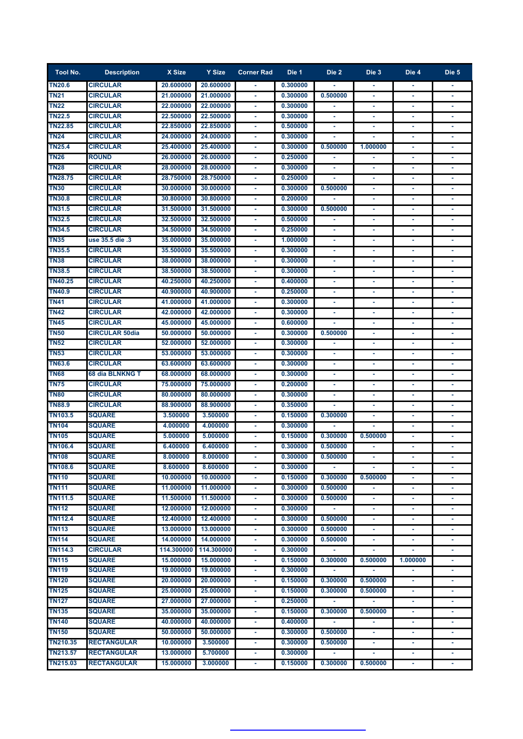| <b>Tool No.</b> | <b>Description</b>    | X Size     | Y Size     | <b>Corner Rad</b> | Die 1    | Die 2    | Die 3          | Die 4          | Die 5 |
|-----------------|-----------------------|------------|------------|-------------------|----------|----------|----------------|----------------|-------|
| <b>TN20.6</b>   | <b>CIRCULAR</b>       | 20.600000  | 20.600000  |                   | 0.300000 |          |                |                |       |
| <b>TN21</b>     | <b>CIRCULAR</b>       | 21.000000  | 21.000000  |                   | 0.300000 | 0.500000 |                |                |       |
| <b>TN22</b>     | <b>CIRCULAR</b>       | 22.000000  | 22.000000  |                   | 0.300000 |          |                |                |       |
| <b>TN22.5</b>   | <b>CIRCULAR</b>       | 22.500000  | 22.500000  |                   | 0.300000 |          |                |                |       |
| <b>TN22.85</b>  | <b>CIRCULAR</b>       | 22.850000  | 22.850000  |                   | 0.500000 |          |                |                |       |
| <b>TN24</b>     | <b>CIRCULAR</b>       | 24.000000  | 24.000000  |                   | 0.300000 |          |                |                |       |
| <b>TN25.4</b>   | <b>CIRCULAR</b>       | 25.400000  | 25.400000  |                   | 0.300000 | 0.500000 | 1.000000       |                |       |
| <b>TN26</b>     | <b>ROUND</b>          | 26.000000  | 26.000000  |                   | 0.250000 |          |                |                |       |
| <b>TN28</b>     | <b>CIRCULAR</b>       | 28.000000  | 28.000000  |                   | 0.300000 |          |                |                |       |
| <b>TN28.75</b>  | <b>CIRCULAR</b>       | 28.750000  | 28.750000  |                   | 0.250000 |          |                |                |       |
| <b>TN30</b>     | <b>CIRCULAR</b>       | 30.000000  | 30.000000  |                   | 0.300000 | 0.500000 |                |                |       |
| <b>TN30.8</b>   | <b>CIRCULAR</b>       | 30.800000  | 30.800000  | $\blacksquare$    | 0.200000 |          | ٠              |                |       |
| <b>TN31.5</b>   | <b>CIRCULAR</b>       | 31.500000  | 31.500000  | $\sim$            | 0.300000 | 0.500000 | ٠              | ٠              |       |
| <b>TN32.5</b>   | <b>CIRCULAR</b>       | 32.500000  | 32.500000  | $\blacksquare$    | 0.500000 | ä,       | ٠              | ٠              |       |
| <b>TN34.5</b>   | <b>CIRCULAR</b>       | 34.500000  | 34.500000  | $\sim$            | 0.250000 | ٠        | ٠              | ٠              | ۰     |
| <b>TN35</b>     | use 35.5 die .3       | 35.000000  | 35.000000  | ٠                 | 1.000000 | ÷        | ٠              | ٠              |       |
| <b>TN35.5</b>   | <b>CIRCULAR</b>       | 35.500000  | 35.500000  | ٠                 | 0.300000 |          |                |                |       |
| <b>TN38</b>     | <b>CIRCULAR</b>       | 38.000000  | 38.000000  |                   | 0.300000 |          | ä,             | ä,             |       |
| <b>TN38.5</b>   | <b>CIRCULAR</b>       | 38.500000  | 38.500000  |                   | 0.300000 |          | ٠              |                |       |
| <b>TN40.25</b>  | <b>CIRCULAR</b>       | 40.250000  | 40.250000  |                   | 0.400000 | ٠        | ٠              | ٠              |       |
| <b>TN40.9</b>   | <b>CIRCULAR</b>       | 40.900000  | 40.900000  |                   | 0.250000 | ٠        | ٠              | ٠              | ٠     |
| <b>TN41</b>     | <b>CIRCULAR</b>       | 41.000000  | 41.000000  |                   | 0.300000 |          |                | ÷              |       |
| <b>TN42</b>     | <b>CIRCULAR</b>       | 42.000000  | 42.000000  |                   | 0.300000 | ٠        |                | ×,             |       |
| <b>TN45</b>     | <b>CIRCULAR</b>       | 45.000000  | 45.000000  |                   | 0.600000 |          |                |                |       |
| <b>TN50</b>     | <b>CIRCULAR 50dia</b> | 50.000000  | 50.000000  |                   | 0.300000 | 0.500000 |                |                |       |
| <b>TN52</b>     | <b>CIRCULAR</b>       | 52.000000  | 52.000000  |                   | 0.300000 |          |                |                |       |
| <b>TN53</b>     | <b>CIRCULAR</b>       | 53.000000  | 53.000000  |                   | 0.300000 |          |                |                |       |
| <b>TN63.6</b>   | <b>CIRCULAR</b>       | 63.600000  | 63.600000  |                   | 0.300000 |          |                |                |       |
| <b>TN68</b>     | 68 dia BLNKNG T       | 68.000000  | 68.000000  |                   | 0.300000 |          |                |                |       |
| <b>TN75</b>     | <b>CIRCULAR</b>       | 75.000000  | 75.000000  |                   | 0.200000 |          |                |                |       |
| <b>TN80</b>     | <b>CIRCULAR</b>       | 80,000000  | 80.000000  |                   | 0.300000 |          |                |                |       |
| <b>TN88.9</b>   | <b>CIRCULAR</b>       | 88.900000  | 88.900000  |                   | 0.350000 |          |                |                |       |
| <b>TN103.5</b>  | <b>SQUARE</b>         | 3.500000   | 3.500000   |                   | 0.150000 | 0.300000 |                |                |       |
| <b>TN104</b>    | <b>SQUARE</b>         | 4.000000   | 4.000000   |                   | 0.300000 |          |                |                |       |
| <b>TN105</b>    | <b>SQUARE</b>         | 5.000000   | 5.000000   |                   | 0.150000 | 0.300000 | 0.500000       |                |       |
| <b>TN106.4</b>  | <b>SQUARE</b>         | 6.400000   | 6.400000   |                   | 0.300000 | 0.500000 |                | ٠              | ٠     |
| <b>TN108</b>    | <b>SQUARE</b>         | 8.000000   | 8.000000   |                   | 0.300000 | 0.500000 |                |                |       |
| <b>TN108.6</b>  | <b>SQUARE</b>         | 8.600000   | 8.600000   | ÷.                | 0.300000 | ä,       |                | ٠              |       |
| <b>TN110</b>    | <b>SQUARE</b>         | 10.000000  | 10.000000  | $\blacksquare$    | 0.150000 | 0.300000 | 0.500000       | $\blacksquare$ |       |
| <b>TN111</b>    | <b>SQUARE</b>         | 11.000000  | 11.000000  | $\blacksquare$    | 0.300000 | 0.500000 | ٠              | ٠              | ٠     |
| <b>TN111.5</b>  | <b>SQUARE</b>         | 11.500000  | 11.500000  | $\blacksquare$    | 0.300000 | 0.500000 | $\blacksquare$ | ٠              |       |
| <b>TN112</b>    | <b>SQUARE</b>         | 12.000000  | 12.000000  | $\blacksquare$    | 0.300000 |          | ä,             | ٠              | ٠     |
| <b>TN112.4</b>  | <b>SQUARE</b>         | 12.400000  | 12.400000  | $\blacksquare$    | 0.300000 | 0.500000 | ٠              | ٠              |       |
| <b>TN113</b>    | <b>SQUARE</b>         | 13,000000  | 13.000000  | $\blacksquare$    | 0.300000 | 0.500000 | ٠              | ٠              |       |
| <b>TN114</b>    | <b>SQUARE</b>         | 14.000000  | 14.000000  | ٠                 | 0.300000 | 0.500000 | ٠              | ٠              | ٠     |
| <b>TN114.3</b>  | <b>CIRCULAR</b>       | 114.300000 | 114.300000 | ٠                 | 0.300000 |          |                | ٠              | ٠     |
| <b>TN115</b>    | <b>SQUARE</b>         | 15.000000  | 15.000000  |                   | 0.150000 | 0.300000 | 0.500000       | 1.000000       | ٠     |
| <b>TN119</b>    | <b>SQUARE</b>         | 19.000000  | 19.000000  |                   | 0.300000 |          |                | ٠              | ٠     |
| <b>TN120</b>    | <b>SQUARE</b>         | 20.000000  | 20.000000  |                   | 0.150000 | 0.300000 | 0.500000       |                |       |
| <b>TN125</b>    | <b>SQUARE</b>         | 25.000000  | 25.000000  |                   | 0.150000 | 0.300000 | 0.500000       |                |       |
| <b>TN127</b>    | <b>SQUARE</b>         | 27.000000  | 27.000000  |                   | 0.250000 |          |                | ٠              |       |
| <b>TN135</b>    | <b>SQUARE</b>         | 35.000000  | 35.000000  |                   | 0.150000 | 0.300000 | 0.500000       |                |       |
| <b>TN140</b>    | <b>SQUARE</b>         | 40.000000  | 40.000000  |                   | 0.400000 |          |                |                |       |
| <b>TN150</b>    | <b>SQUARE</b>         | 50.000000  | 50.000000  |                   | 0.300000 | 0.500000 |                |                |       |
| <b>TN210.35</b> | <b>RECTANGULAR</b>    | 10.000000  | 3.500000   |                   | 0.300000 | 0.500000 |                |                |       |
| <b>TN213.57</b> | <b>RECTANGULAR</b>    | 13.000000  | 5.700000   |                   | 0.300000 |          |                |                |       |
| TN215.03        | <b>RECTANGULAR</b>    | 15.000000  | 3.000000   |                   | 0.150000 | 0.300000 | 0.500000       |                |       |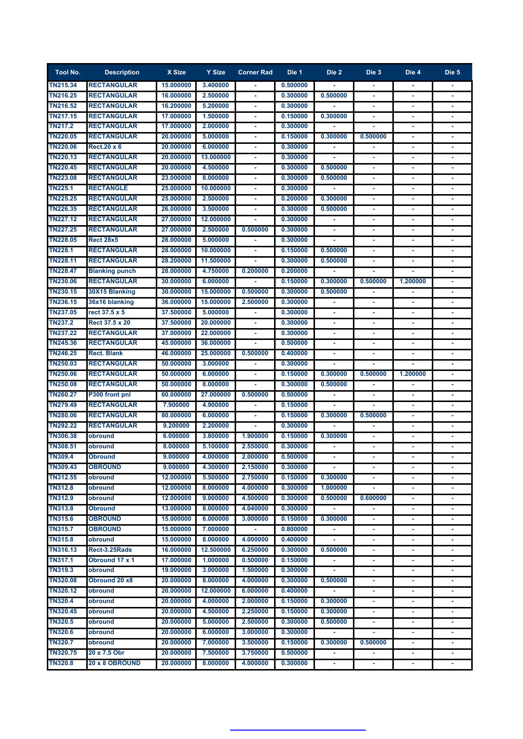| <b>Tool No.</b>            | <b>Description</b>    | X Size    | Y Size               | <b>Corner Rad</b>                               | Die 1    | Die 2          | Die 3    | Die 4          | Die 5 |
|----------------------------|-----------------------|-----------|----------------------|-------------------------------------------------|----------|----------------|----------|----------------|-------|
| <b>TN215.34</b>            | <b>RECTANGULAR</b>    | 15.000000 | 3.400000             | $\blacksquare$                                  | 0.500000 |                |          | ٠              |       |
| <b>TN216.25</b>            | <b>RECTANGULAR</b>    | 16.000000 | 2.500000             |                                                 | 0.300000 | 0.500000       |          |                |       |
| <b>TN216.52</b>            | <b>RECTANGULAR</b>    | 16.200000 | 5.200000             |                                                 | 0.300000 |                |          |                |       |
| <b>TN217.15</b>            | <b>RECTANGULAR</b>    | 17.000000 | 1.500000             |                                                 | 0.150000 | 0.300000       |          |                |       |
| <b>TN217.2</b>             | <b>RECTANGULAR</b>    | 17.000000 | 2.000000             |                                                 | 0.300000 |                |          |                |       |
| <b>TN220.05</b>            | <b>RECTANGULAR</b>    | 20.000000 | 5.000000             |                                                 | 0.150000 | 0.300000       | 0.500000 |                |       |
| <b>TN220.06</b>            | Rect.20 x 6           | 20,000000 | 6.000000             |                                                 | 0.300000 |                |          |                |       |
| TN220.13                   | <b>RECTANGULAR</b>    | 20.000000 | 13.000000            |                                                 | 0.300000 |                |          |                |       |
| <b>TN220.45</b>            | <b>RECTANGULAR</b>    | 20.000000 | 4.500000             |                                                 | 0.300000 | 0.500000       |          |                |       |
| <b>TN223.08</b>            | <b>RECTANGULAR</b>    | 23.000000 | 8.000000             |                                                 | 0.300000 | 0.500000       |          |                |       |
| <b>TN225.1</b>             | <b>RECTANGLE</b>      | 25.000000 | 10.000000            |                                                 | 0.300000 |                |          |                |       |
| <b>TN225.25</b>            | <b>RECTANGULAR</b>    | 25.000000 | 2.500000             |                                                 | 0.200000 | 0.300000       |          |                |       |
| <b>TN226.35</b>            | <b>RECTANGULAR</b>    | 26.000000 | 3.500000             |                                                 | 0.300000 | 0.500000       |          |                |       |
| <b>TN227.12</b>            | <b>RECTANGULAR</b>    | 27.000000 | 12.000000            |                                                 | 0.300000 |                | ٠        |                |       |
| <b>TN227.25</b>            | <b>RECTANGULAR</b>    | 27.000000 | 2.500000             | 0.500000                                        | 0.300000 |                |          |                |       |
| <b>TN228.05</b>            | <b>Rect 28x5</b>      | 28.000000 | 5.000000             | $\sim$                                          | 0.300000 |                | ٠        | $\blacksquare$ |       |
| <b>TN228.1</b>             | <b>RECTANGULAR</b>    | 28,000000 | 10.000000            | $\omega$                                        | 0.150000 | 0.500000       | ÷,       | ÷,             |       |
| <b>TN228.11</b>            | <b>RECTANGULAR</b>    | 28.200000 | 11.500000            | $\blacksquare$                                  | 0.300000 | 0.500000       | ٠        | $\sim$         | ٠     |
| <b>TN228.47</b>            | <b>Blanking punch</b> | 28.000000 | 4.750000             | 0.200000                                        | 0.200000 |                |          |                |       |
| <b>TN230.06</b>            | <b>RECTANGULAR</b>    | 30.000000 | 6.000000             |                                                 | 0.150000 | 0.300000       | 0.500000 | 1.200000       |       |
| <b>TN230.15</b>            | 30X15 Blanking        | 30.000000 | 15,000000            | 0.500000                                        | 0.300000 | 0.500000       |          |                |       |
| TN236.15                   | 36x16 blanking        | 36.000000 | 15.000000            | 2.500000                                        | 0.300000 |                | ٠        | $\blacksquare$ |       |
| TN237.05                   | rect 37.5 x 5         | 37.500000 | 5.000000             |                                                 | 0.300000 | ٠              | ٠        | $\blacksquare$ |       |
| <b>TN237.2</b>             | Rect 37.5 x 20        | 37.500000 | 20.000000            |                                                 | 0.300000 |                | ٠        | ٠              |       |
| <b>TN237.22</b>            | <b>RECTANGULAR</b>    | 37.000000 | 22.000000            |                                                 | 0.300000 |                | ٠        | ٠              |       |
| TN245.36                   | <b>RECTANGULAR</b>    | 45.000000 | 36.000000            |                                                 | 0.500000 |                |          |                |       |
| <b>TN246.25</b>            | <b>Rect. Blank</b>    | 46.000000 | 25.000000            | 0.500000                                        | 0.400000 |                |          |                |       |
| TN250.03                   | <b>RECTANGULAR</b>    | 50.000000 | 3.000000             |                                                 | 0.300000 |                |          |                |       |
| <b>TN250.06</b>            | <b>RECTANGULAR</b>    | 50.000000 | 6.000000             |                                                 | 0.150000 | 0.300000       | 0.500000 | 1.200000       |       |
| <b>TN250.08</b>            | <b>RECTANGULAR</b>    | 50.000000 | 8.000000             |                                                 | 0.300000 | 0.500000       |          |                |       |
| <b>TN260.27</b>            | P300 front pnl        | 60.000000 | 27.000000            | 0.500000                                        | 0.500000 |                |          |                |       |
| TN279.49                   | RECTANGULAR           | 7.900000  | 4.900000             |                                                 | 0.150000 |                |          |                |       |
| TN280.06                   | RECTANGULAR           | 80.000000 | 6.000000             |                                                 | 0.150000 | 0.300000       | 0.500000 |                |       |
| TN292.22                   | <b>RECTANGULAR</b>    | 9.200000  | 2.200000             |                                                 | 0.300000 |                |          |                |       |
| TN306.38                   | obround               | 6.000000  | 3.800000             | 1.900000                                        | 0.150000 | 0.300000       |          |                |       |
| <b>TN308.51</b>            | obround               | 8.000000  | 5.100000             | 2.550000<br>9.000000 4.000000 2.000000 0.500000 | 0.300000 |                |          |                |       |
| <b>TN309.4</b><br>TN309.43 | <b>Obround</b>        | 9.000000  |                      |                                                 | 0.300000 |                |          |                |       |
| <b>TN312.55</b>            | OBROUND<br>obround    | 12.000000 | 4.300000<br>5.500000 | 2.150000<br>2.750000                            | 0.150000 | 0.300000       |          |                |       |
| <b>TN312.8</b>             | obround               | 12.000000 | 8.000000             | 4.000000                                        | 0.300000 | 1.000000       |          |                |       |
| <b>TN312.9</b>             | obround               | 12.000000 | 9.000000             | 4.500000                                        | 0.300000 | 0.500000       | 0.600000 | $\blacksquare$ | ٠     |
| <b>TN313.8</b>             | Obround               | 13.000000 | 8.000000             | 4.040000                                        | 0.300000 |                |          | ٠              |       |
| <b>TN315.6</b>             | <b>OBROUND</b>        | 15.000000 | 6.000000             | 3.000000                                        | 0.150000 | 0.300000       | ٠        | ٠              | ٠     |
| <b>TN315.7</b>             | OBROUND               | 15,000000 | 7.000000             | $\sim$                                          | 0.800000 | ٠              | ٠        | ٠              | ٠     |
| <b>TN315.8</b>             | obround               | 15.000000 | 8.000000             | 4.000000                                        | 0.400000 | ٠              | ٠        | $\blacksquare$ |       |
| <b>TN316.13</b>            | Rect-3.25Rads         | 16.000000 | 12.500000            | 6.250000                                        | 0.300000 | 0.500000       | ä,       | ٠              |       |
| <b>TN317.1</b>             | Obround 17 x 1        | 17.000000 | 1.000000             | 0.500000                                        | 0.150000 | ٠              | ٠        | ٠              |       |
| TN319.3                    | obround               | 19.000000 | 3.000000             | 1.500000                                        | 0.300000 | ٠              | ٠        | ٠              | ٠     |
| <b>TN320.08</b>            | Obround 20 x8         | 20.000000 | 8.000000             | 4.000000                                        | 0.300000 | 0.500000       | ٠        | ٠              | ٠     |
| <b>TN320.12</b>            | obround               | 20.000000 | 12.000000            | 6.000000                                        | 0.400000 |                |          |                | ٠     |
| <b>TN320.4</b>             | obround               | 20.000000 | 4.000000             | 2.000000                                        | 0.150000 | У.<br>0.300000 | ۰<br>۰   | ٠<br>٠         |       |
| <b>TN320.45</b>            | obround               | 20.000000 | 4.500000             | 2.250000                                        | 0.150000 | 0.300000       |          | ٠              |       |
| <b>TN320.5</b>             | obround               | 20.000000 | 5.000000             | 2.500000                                        | 0.300000 | 0.500000       |          |                |       |
| <b>TN320.6</b>             | obround               | 20.000000 | 6.000000             | 3.000000                                        | 0.300000 |                |          |                |       |
| <b>TN320.7</b>             | obround               | 20.000000 | 7.000000             | 3.500000                                        | 0.150000 | 0.300000       | 0.500000 |                |       |
| <b>TN320.75</b>            | 20 x 7.5 Obr          | 20.000000 | 7.500000             | 3.750000                                        | 0.500000 |                |          |                |       |
| <b>TN320.8</b>             | <b>20 x 8 OBROUND</b> | 20.000000 | 8.000000             | 4.000000                                        | 0.300000 | ٠              |          |                |       |
|                            |                       |           |                      |                                                 |          |                |          |                |       |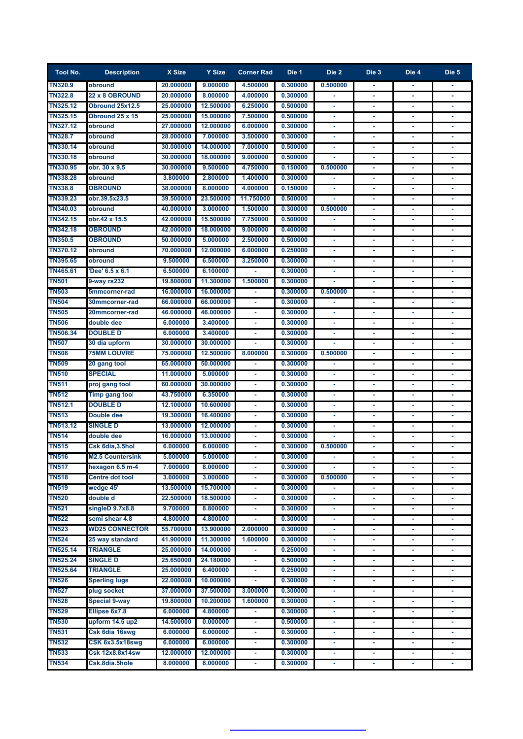| <b>Tool No.</b>                | <b>Description</b>                          | X Size                | Y Size                 | <b>Corner Rad</b> | Die 1                | Die 2          | Die 3          | Die 4          | Die 5 |
|--------------------------------|---------------------------------------------|-----------------------|------------------------|-------------------|----------------------|----------------|----------------|----------------|-------|
| <b>TN320.9</b>                 | obround                                     | 20.000000             | 9.000000               | 4.500000          | 0.300000             | 0.500000       | ٠              | ٠              |       |
| <b>TN322.8</b>                 | <b>22 x 8 OBROUND</b>                       | 20.000000             | 8.000000               | 4.000000          | 0.300000             |                |                |                |       |
| <b>TN325.12</b>                | Obround 25x12.5                             | 25.000000             | 12.500000              | 6.250000          | 0.500000             |                |                |                |       |
| <b>TN325.15</b>                | Obround 25 x 15                             | 25.000000             | 15.000000              | 7.500000          | 0.500000             |                |                |                |       |
| <b>TN327.12</b>                | obround                                     | 27.000000             | 12.000000              | 6.000000          | 0.300000             |                |                |                |       |
| <b>TN328.7</b>                 | obround                                     | 28.000000             | 7.000000               | 3.500000          | 0.300000             |                |                |                |       |
| <b>TN330.14</b>                | obround                                     | 30.000000             | 14.000000              | 7.000000          | 0.500000             |                |                |                |       |
| TN330.18                       | obround                                     | 30.000000             | 18,000000              | 9.000000          | 0.500000             |                |                |                |       |
| <b>TN330.95</b>                | obr. 30 x 9.5                               | 30.000000             | 9.500000               | 4.750000          | 0.150000             | 0.500000       |                |                |       |
| <b>TN338.28</b>                | obround                                     | 3.800000              | 2.800000               | 1.400000          | 0.300000             |                |                |                |       |
| <b>TN338.8</b>                 | <b>OBROUND</b>                              | 38.000000             | 8.000000               | 4.000000          | 0.150000             |                |                |                |       |
| <b>TN339.23</b>                | obr.39.5x23.5                               | 39.500000             | 23.500000              | 11.750000         | 0.500000             |                |                |                |       |
| <b>TN340.03</b>                | obround                                     | 40.000000             | 3.000000               | 1.500000          | 0.300000             | 0.500000       |                |                |       |
| <b>TN342.15</b>                | obr.42 x 15.5                               | 42.000000             | 15.500000              | 7.750000          | 0.500000             |                | ٠              |                |       |
| <b>TN342.18</b>                | <b>OBROUND</b>                              | 42.000000             | 18.000000              | 9.000000          | 0.400000             | ä,             |                |                |       |
| <b>TN350.5</b>                 | <b>OBROUND</b>                              | 50.000000             | 5.000000               | 2.500000          | 0.500000             | ٠              | ٠              | $\blacksquare$ |       |
| <b>TN370.12</b>                | obround                                     | 70.000000             | 12.000000              | 6.000000          | 0.250000             | $\blacksquare$ | ä              | $\blacksquare$ |       |
| TN395.65                       | obround                                     | 9.500000              | 6.500000               | 3.250000          | 0.300000             | $\blacksquare$ | $\blacksquare$ | $\sim$         | ٠     |
| TN465.61                       | 'Dee' 6.5 x 6.1                             | 6.500000              | 6.100000               |                   | 0.300000             | ÷              | ä,             | $\blacksquare$ |       |
| <b>TN501</b>                   | 9-way rs232                                 | 19.800000             | 11.300000              | 1.500000          | 0.300000             |                | ä,             | ٠              |       |
| <b>TN503</b>                   | 5mmcorner-rad                               | 16.000000             | 16.000000              |                   | 0.300000             | 0.500000       | ٠              |                |       |
| <b>TN504</b>                   | 30mmcorner-rad                              | 66.000000             | 66.000000              | $\sim$            | 0.300000             |                | ٠              | $\blacksquare$ |       |
| <b>TN505</b>                   | 20mmcorner-rad                              | 46.000000             | 46.000000              | $\sim$            | 0.300000             |                | ٠              | $\blacksquare$ |       |
| <b>TN506</b>                   | double dee                                  | 6.000000              | 3.400000               |                   | 0.300000             |                | ٠              | ٠              |       |
| <b>TN506.34</b>                | <b>DOUBLE D</b>                             | 6.000000              | 3.400000               |                   | 0.300000             |                | ٠              | ٠              |       |
| <b>TN507</b>                   | 30 dia upform                               | 30.000000             | 30.000000              |                   | 0.300000             |                |                | $\blacksquare$ |       |
| <b>TN508</b>                   | <b>75MM LOUVRE</b>                          | 75.000000             | 12.500000              | 8.000000          | 0.300000             | 0.500000       |                |                |       |
| <b>TN509</b>                   | 20 gang tool                                | 65.000000             | 50.000000              |                   | 0.300000             |                |                |                |       |
| <b>TN510</b>                   | <b>SPECIAL</b>                              | 11.000000             | 5.000000               |                   | 0.300000             |                |                |                |       |
| <b>TN511</b><br><b>TN512</b>   | proj gang tool                              | 60.000000             | 30.000000              |                   | 0.300000             |                |                |                |       |
|                                | Timp gang tool<br><b>DOUBLE D</b>           | 43.750000             | 6.350000               |                   | 0.300000             |                |                |                |       |
| <b>TN512.1</b><br><b>TN513</b> |                                             | 12.100000             | 10.600000<br>16,400000 |                   | 0.300000             |                |                |                |       |
| <b>TN513.12</b>                | Double dee<br><b>SINGLE D</b>               | 19.300000             |                        |                   | 0.300000             |                |                |                |       |
| <b>TN514</b>                   |                                             | 13.000000             | 12.000000              |                   | 0.300000             |                |                |                |       |
| <b>TN515</b>                   | double dee                                  | 16.000000<br>6.000000 | 13.000000<br>6.000000  |                   | 0.300000<br>0.300000 | 0.500000       |                |                |       |
| <b>TN516</b>                   | Csk 6dia, 3.5hol<br><b>M2.5 Countersink</b> |                       | 5.000000 5.000000      |                   | 0.300000             |                |                |                |       |
| <b>TN517</b>                   | hexagon 6.5 m-4                             | 7.000000              | 8.000000               |                   | 0.300000             |                |                |                |       |
| <b>TN518</b>                   | <b>Centre dot tool</b>                      | 3.000000              | 3.000000               | $\blacksquare$    | 0.300000             | 0.500000       | ä              |                |       |
| <b>TN519</b>                   | wedge 45'                                   | 13.500000             | 15.700000              | $\blacksquare$    | 0.300000             |                | ä              | Ξ              |       |
| <b>TN520</b>                   | double d                                    | 22.500000             | 18.500000              | $\blacksquare$    | 0.300000             | ä,             | ä              | $\blacksquare$ | ٠     |
| <b>TN521</b>                   | singleD 9.7x8.8                             | 9.700000              | 8.800000               | $\omega$          | 0.300000             | ä,             | ä,             | ٠              | ٠     |
| <b>TN522</b>                   | semi shear 4.8                              | 4.800000              | 4.800000               | ٠                 | 0.300000             | ٠              | ٠              | ٠              |       |
| <b>TN523</b>                   | <b>WD25 CONNECTOR</b>                       | 55.700000             | 13.900000              | 2.000000          | 0.300000             | ٠              | ٠              | ٠              | ٠     |
| <b>TN524</b>                   | 25 way standard                             | 41.900000             | 11.300000              | 1.600000          | 0.300000             | $\blacksquare$ | ä,             | $\blacksquare$ |       |
| <b>TN525.14</b>                | <b>TRIANGLE</b>                             | 25.000000             | 14.000000              | ٠                 | 0.250000             | $\blacksquare$ | ä,             | ٠              |       |
| <b>TN525.24</b>                | SINGLE D                                    | 25.650000             | 24.180000              | $\blacksquare$    | 0.500000             | ÷              | ä,             | ٠              |       |
| <b>TN525.64</b>                | TRIANGLE                                    | 25.000000             | 6.400000               | $\blacksquare$    | 0.250000             | ÷              | Ξ              | ٠              | ٠     |
| <b>TN526</b>                   | <b>Sperling lugs</b>                        | 22.000000             | 10.000000              | ٠                 | 0.300000             | ٠              | ٠              | ٠              | ٠     |
| <b>TN527</b>                   | plug socket                                 | 37.000000             | 37.500000              | 3.000000          | 0.300000             | ٠              | ٠              | ٠              | ٠     |
| <b>TN528</b>                   | Special 9-way                               | 19.800000             | 10.200000              | 1.600000          | 0.300000             | ٠              | ۰              | ٠              |       |
| <b>TN529</b>                   | Ellipse 6x7.8                               | 6.000000              | 4.800000               | ٠                 | 0.300000             | ٠              | ۰              | ٠              |       |
| <b>TN530</b>                   | upform 14.5 up2                             | 14.500000             | 0.000000               |                   | 0.500000             |                |                | ٠              |       |
| <b>TN531</b>                   | Csk 6dia 16swg                              | 6.000000              | 6.000000               | ٠                 | 0.300000             | ٠              |                | ٠              |       |
| <b>TN532</b>                   | CSK 6x3.5x18swg                             | 6.000000              | 6.000000               | ٠                 | 0.300000             |                |                | ٠              |       |
| <b>TN533</b>                   | <b>Csk 12x8.8x14sw</b>                      | 12.000000             | 12.000000              | ٠                 | 0.300000             |                |                | ٠              |       |
| <b>TN534</b>                   | Csk.8dia.5hole                              | 8.000000              | 8.000000               | ٠                 | 0.300000             |                |                |                |       |
|                                |                                             |                       |                        |                   |                      |                |                |                |       |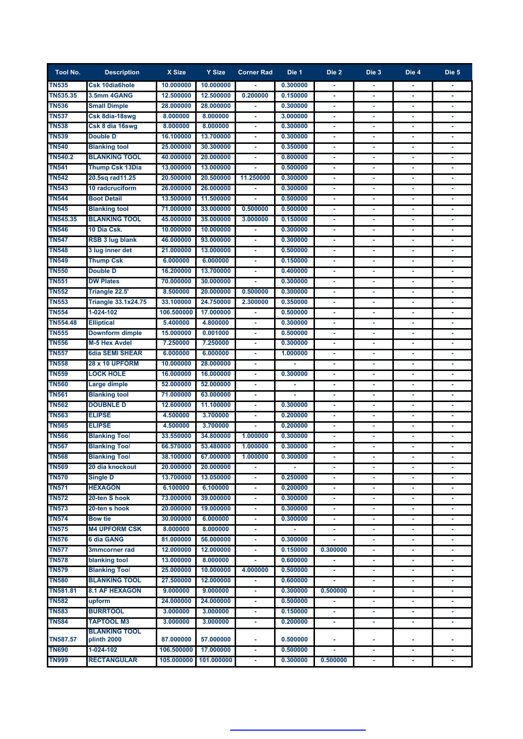| <b>Tool No.</b> | <b>Description</b>                  | X Size     | Y Size     | <b>Corner Rad</b> | Die 1    | Die 2          | Die 3 | Die 4          | Die 5 |
|-----------------|-------------------------------------|------------|------------|-------------------|----------|----------------|-------|----------------|-------|
| <b>TN535</b>    | Csk 10dia6hole                      | 10.000000  | 10.000000  |                   | 0.300000 |                |       |                |       |
| TN535.35        | 3.5mm 4GANG                         | 12.500000  | 12.500000  | 0.200000          | 0.150000 |                |       |                |       |
| <b>TN536</b>    | <b>Small Dimple</b>                 | 28.000000  | 28.000000  |                   | 0.300000 |                |       |                |       |
| <b>TN537</b>    | Csk 8dia-18swg                      | 8.000000   | 8.000000   |                   | 3.000000 |                |       |                |       |
| <b>TN538</b>    | Csk 8 dia 16swg                     | 8.000000   | 8.000000   |                   | 0.300000 |                |       |                |       |
| <b>TN539</b>    | <b>Double D</b>                     | 16.100000  | 13.700000  |                   | 0.300000 |                |       |                |       |
| <b>TN540</b>    | <b>Blanking tool</b>                | 25.000000  | 30.300000  |                   | 0.350000 |                |       |                |       |
| <b>TN540.2</b>  | <b>BLANKING TOOL</b>                | 40.000000  | 20.000000  |                   | 0.800000 |                |       |                |       |
| <b>TN541</b>    | <b>Thump Csk 13Dia</b>              | 13.000000  | 13.000000  |                   | 0.500000 |                |       |                |       |
| <b>TN542</b>    | 20.5sq rad11.25                     | 20.500000  | 20.500000  | 11.250000         | 0.300000 |                |       |                |       |
| <b>TN543</b>    | <b>10 radcruciform</b>              | 26.000000  | 26.000000  |                   | 0.300000 |                |       |                |       |
| <b>TN544</b>    | <b>Boot Detail</b>                  | 13.500000  | 11.500000  |                   | 0.500000 |                |       |                |       |
| <b>TN545</b>    | <b>Blanking tool</b>                | 71.000000  | 33.000000  | 0.500000          | 0.500000 | $\blacksquare$ | ٠     | ä,             |       |
| <b>TN545.35</b> | <b>BLANKING TOOL</b>                | 45.000000  | 35.000000  | 3.000000          | 0.150000 | $\blacksquare$ | ä,    | $\blacksquare$ | ٠     |
| <b>TN546</b>    | 10 Dia Csk.                         | 10.000000  | 10.000000  |                   | 0.300000 | ÷              | ä     | ٠              |       |
| <b>TN547</b>    | RSB 3 lug blank                     | 46.000000  | 93.000000  | ٠                 | 0.300000 | ٠              | ٠     | ٠              |       |
| <b>TN548</b>    | 3 lug inner det                     | 21.000000  | 13,000000  | $\blacksquare$    | 0.500000 | ٠              | ٠     | ٠              |       |
| <b>TN549</b>    | <b>Thump Csk</b>                    | 6.000000   | 6.000000   | $\blacksquare$    | 0.150000 | ÷              |       | $\blacksquare$ |       |
| <b>TN550</b>    | <b>Double D</b>                     | 16.200000  | 13.700000  | ٠                 | 0.400000 |                |       |                |       |
| <b>TN551</b>    | <b>DW Plates</b>                    | 70.000000  | 30.000000  |                   | 0.300000 |                |       |                |       |
| <b>TN552</b>    | Triangle 22.5'                      | 8.500000   | 20.000000  | 0.500000          | 0.300000 |                | ٠     |                |       |
| <b>TN553</b>    | <b>Triangle 33.1x24.75</b>          | 33.100000  | 24.750000  | 2.300000          | 0.350000 | ٠              | ٠     | ٠              |       |
| <b>TN554</b>    | 1-024-102                           | 106.500000 | 17.000000  | ٠                 | 0.500000 | ٠              | ٠     | ٠              |       |
| <b>TN554.48</b> | <b>Elliptical</b>                   | 5.400000   | 4.800000   |                   | 0.300000 | ٠              |       | ٠              |       |
| <b>TN555</b>    | Downform dimple                     | 15.000000  | 0.001000   |                   | 0.500000 |                |       |                |       |
| <b>TN556</b>    | <b>M-5 Hex Avdel</b>                | 7.250000   | 7.250000   |                   | 0.300000 |                |       |                |       |
| <b>TN557</b>    | <b>6dia SEMI SHEAR</b>              | 6.000000   | 6.000000   |                   | 1.000000 |                |       |                |       |
| <b>TN558</b>    | <b>28 x 10 UPFORM</b>               | 10.000000  | 28.000000  |                   |          |                |       |                |       |
| <b>TN559</b>    | <b>LOCK HOLE</b>                    | 16.000000  | 16.000000  |                   | 0.300000 |                |       |                |       |
| <b>TN560</b>    | Large dimple                        | 52.000000  | 52.000000  |                   |          |                |       |                |       |
| <b>TN561</b>    | <b>Blanking tool</b>                | 71.000000  | 63.000000  |                   |          |                |       |                |       |
| <b>TN562</b>    | <b>DOUBNLE D</b>                    | 12.600000  | 11.100000  |                   | 0.300000 |                |       |                |       |
| <b>TN563</b>    | <b>ELIPSE</b>                       | 4.500000   | 3.700000   |                   | 0.200000 |                |       |                |       |
| <b>TN565</b>    | <b>ELIPSE</b>                       | 4.500000   | 3.700000   |                   | 0.200000 |                |       |                |       |
| <b>TN566</b>    | <b>Blanking Tool</b>                | 33.550000  | 34.800000  | 1.000000          | 0.300000 |                |       |                |       |
| <b>TN567</b>    | <b>Blanking Tool</b>                | 66.570000  | 53.480000  | 1.000000          | 0.300000 |                |       |                |       |
| <b>TN568</b>    | <b>Blanking Tool</b>                | 38.100000  | 67.000000  | 1.000000          | 0.300000 |                |       |                |       |
| <b>TN569</b>    | 20 dia knockout                     | 20.000000  | 20.000000  |                   |          |                |       |                |       |
| <b>TN570</b>    | Single D                            | 13.700000  | 13.050000  | ٠                 | 0.250000 | ٠              | ٠     | $\blacksquare$ |       |
| <b>TN571</b>    | <b>HEXAGON</b>                      | 6.100000   | 6.100000   | $\omega$          | 0.200000 | $\blacksquare$ | ٠     | $\blacksquare$ | ٠     |
| <b>TN572</b>    | 20-ten S hook                       | 73.000000  | 39.000000  | $\blacksquare$    | 0.300000 | $\blacksquare$ | ٠     | ٠              | ٠     |
| <b>TN573</b>    | 20-ten s hook                       | 20.000000  | 19.000000  | ٠                 | 0.300000 | ٠              | ٠     | ٠              | ٠     |
| <b>TN574</b>    | <b>Bow tie</b>                      | 30.000000  | 6.000000   | ٠                 | 0.300000 | ÷              | ٠     | ٠              |       |
| <b>TN575</b>    | <b>M4 UPFORM CSK</b>                | 8.000000   | 8.000000   | $\blacksquare$    |          | ٠              | ä,    | ٠              | ٠     |
| <b>TN576</b>    | 6 dia GANG                          | 81.000000  | 56.000000  | $\blacksquare$    | 0.300000 | ٠              | ä,    | $\blacksquare$ | ٠     |
| <b>TN577</b>    | 3mmcorner rad                       | 12.000000  | 12.000000  | $\blacksquare$    | 0.150000 | 0.300000       | ä,    | ٠              | ٠     |
| <b>TN578</b>    | blanking tool                       | 13.000000  | 8.000000   | ÷                 | 0.600000 |                | ٠     | ٠              |       |
| <b>TN579</b>    | <b>Blanking Tool</b>                | 25.000000  | 10.000000  | 4.000000          | 0.500000 | ٠              | ٠     | ٠              | ٠     |
| <b>TN580</b>    | <b>BLANKING TOOL</b>                | 27.500000  | 12.000000  |                   | 0.600000 |                | ٠     | ٠              |       |
| <b>TN581.81</b> | <b>8.1 AF HEXAGON</b>               | 9.000000   | 9.000000   |                   | 0.300000 | 0.500000       | ä,    | ٠              | ٠     |
| <b>TN582</b>    | upform                              | 24.000000  | 24.000000  |                   | 0.500000 |                |       | ٠              |       |
| <b>TN583</b>    | <b>BURRTOOL</b>                     | 3.000000   | 3.000000   | ٠                 | 0.150000 | ٠              | ٠     | ٠              |       |
| <b>TN584</b>    | <b>TAPTOOL M3</b>                   | 3.000000   | 3.000000   | ٠                 | 0.200000 | ٠              | ٠     | ٠              | ٠     |
| <b>TN587.57</b> | <b>BLANKING TOOL</b><br>plinth 2000 | 87.000000  | 57.000000  | $\blacksquare$    | 0.500000 | ٠              | ٠     | ۰              |       |
| <b>TN690</b>    | 1-024-102                           | 106.500000 | 17.000000  | $\blacksquare$    | 0.500000 | $\blacksquare$ | ä,    | ٠              | ٠     |
| <b>TN999</b>    | RECTANGULAR                         | 105.000000 | 101.000000 | ٠                 | 0.300000 | 0.500000       | ٠     | ٠              | ٠     |